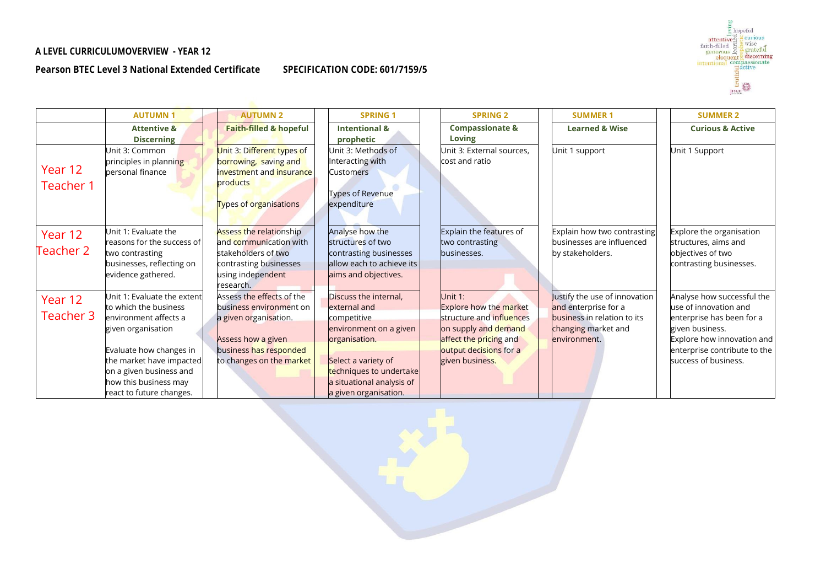## **A LEVEL CURRICULUMOVERVIEW - YEAR 12**

## **Pearson BTEC Level 3 National Extended Certificate**



| SPECIFICATION CODE: 601/7159/5 |  |  |
|--------------------------------|--|--|
|--------------------------------|--|--|

|                      | <b>AUTUMN1</b>                                                                                                                      | <b>AUTUMN 2</b>                                                                                                                             | <b>SPRING 1</b>                                                                                                     | <b>SPRING 2</b>                                                                                                        | <b>SUMMER 1</b>                                                                                                             | <b>SUMMER 2</b>                                                                                                                   |
|----------------------|-------------------------------------------------------------------------------------------------------------------------------------|---------------------------------------------------------------------------------------------------------------------------------------------|---------------------------------------------------------------------------------------------------------------------|------------------------------------------------------------------------------------------------------------------------|-----------------------------------------------------------------------------------------------------------------------------|-----------------------------------------------------------------------------------------------------------------------------------|
|                      | <b>Attentive &amp;</b><br><b>Discerning</b>                                                                                         | <b>Faith-filled &amp; hopeful</b>                                                                                                           | <b>Intentional &amp;</b><br>prophetic                                                                               | <b>Compassionate &amp;</b><br>Loving                                                                                   | <b>Learned &amp; Wise</b>                                                                                                   | <b>Curious &amp; Active</b>                                                                                                       |
| Year 12<br>Teacher 1 | Jnit 3: Common<br>principles in planning<br>personal finance                                                                        | Unit 3: Different types of<br>borrowing, saving and<br>investment and insurance<br>products<br>Types of organisations                       | Unit 3: Methods of<br>Interacting with<br><b>Customers</b><br>Types of Revenue<br>expenditure                       | Jnit 3: External sources,<br>cost and ratio                                                                            | Unit 1 support                                                                                                              | Unit 1 Support                                                                                                                    |
| Year 12<br>Teacher 2 | Unit 1: Evaluate the<br>reasons for the success of<br>two contrasting<br>businesses, reflecting on<br>evidence gathered.            | <b>Assess the relationship</b><br>and communication with<br>stakeholders of two<br>contrasting businesses<br>using independent<br>research. | Analyse how the<br>structures of two<br>contrasting businesses<br>allow each to achieve its<br>aims and objectives. | Explain the features of<br>two contrasting<br>businesses.                                                              | Explain how two contrasting<br>businesses are influenced<br>by stakeholders.                                                | Explore the organisation<br>structures, aims and<br>objectives of two<br>contrasting businesses.                                  |
| Year 12<br>Teacher 3 | Unit 1: Evaluate the extent<br>to which the business<br>environment affects a<br>given organisation                                 | Assess the effects of the<br>business environment on<br>a given organisation.<br>Assess how a given                                         | Discuss the internal,<br>external and<br>competitive<br>environment on a given<br>organisation.                     | Unit 1:<br><b>Explore how the market</b><br>structure and influences<br>on supply and demand<br>affect the pricing and | Justify the use of innovation<br>and enterprise for a<br>business in relation to its<br>changing market and<br>environment. | Analyse how successful the<br>use of innovation and<br>enterprise has been for a<br>given business.<br>Explore how innovation and |
|                      | Evaluate how changes in<br>the market have impacted<br>on a given business and<br>how this business may<br>react to future changes. | business has responded<br>to changes on the market                                                                                          | Select a variety of<br>techniques to undertake<br>a situational analysis of<br>a given organisation.                | output decisions for a<br>given business.                                                                              |                                                                                                                             | enterprise contribute to the<br>success of business.                                                                              |